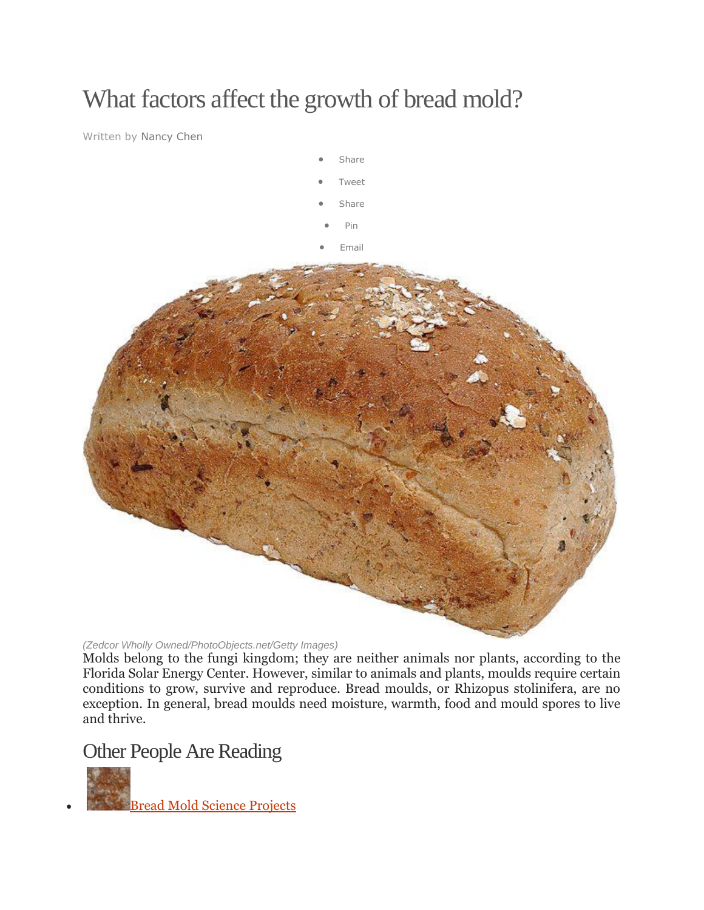# What factors affect the growth of bread mold?

Written by Nancy Chen



*(Zedcor Wholly Owned/PhotoObjects.net/Getty Images)*

Molds belong to the fungi kingdom; they are neither animals nor plants, according to the Florida Solar Energy Center. However, similar to animals and plants, moulds require certain conditions to grow, survive and reproduce. Bread moulds, or Rhizopus stolinifera, are no exception. In general, bread moulds need moisture, warmth, food and mould spores to live and thrive.

## Other People Are Reading



[Bread Mold Science Projects](http://www.ehow.co.uk/list_6081094_bread-mold-science-projects.html)